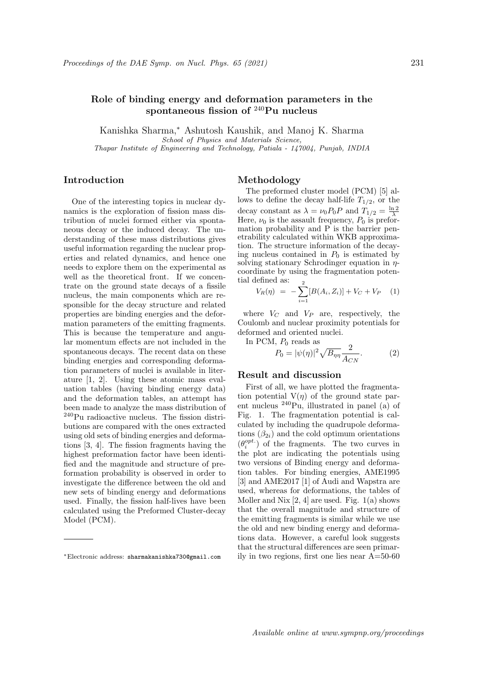# Role of binding energy and deformation parameters in the spontaneous fission of <sup>240</sup>Pu nucleus

Kanishka Sharma,<sup>∗</sup> Ashutosh Kaushik, and Manoj K. Sharma School of Physics and Materials Science, Thapar Institute of Engineering and Technology, Patiala - 147004, Punjab, INDIA

## Introduction

One of the interesting topics in nuclear dynamics is the exploration of fission mass distribution of nuclei formed either via spontaneous decay or the induced decay. The understanding of these mass distributions gives useful information regarding the nuclear properties and related dynamics, and hence one needs to explore them on the experimental as well as the theoretical front. If we concentrate on the ground state decays of a fissile nucleus, the main components which are responsible for the decay structure and related properties are binding energies and the deformation parameters of the emitting fragments. This is because the temperature and angular momentum effects are not included in the spontaneous decays. The recent data on these binding energies and corresponding deformation parameters of nuclei is available in literature [1, 2]. Using these atomic mass evaluation tables (having binding energy data) and the deformation tables, an attempt has been made to analyze the mass distribution of <sup>240</sup>Pu radioactive nucleus. The fission distributions are compared with the ones extracted using old sets of binding energies and deformations [3, 4]. The fission fragments having the highest preformation factor have been identified and the magnitude and structure of preformation probability is observed in order to investigate the difference between the old and new sets of binding energy and deformations used. Finally, the fission half-lives have been calculated using the Preformed Cluster-decay Model (PCM).

## Methodology

The preformed cluster model (PCM) [5] allows to define the decay half-life  $T_{1/2}$ , or the decay constant as  $\lambda = \nu_0 P_0 P$  and  $T_{1/2} = \frac{\ln 2}{\lambda}$ λ Here,  $\nu_0$  is the assault frequency,  $P_0$  is preformation probability and P is the barrier penetrability calculated within WKB approximation. The structure information of the decaying nucleus contained in  $P_0$  is estimated by solving stationary Schrodinger equation in ηcoordinate by using the fragmentation potential defined as:  $\sim$ 

$$
V_R(\eta) = -\sum_{i=1}^{2} [B(A_i, Z_i)] + V_C + V_P \quad (1)
$$

where  $V_C$  and  $V_P$  are, respectively, the Coulomb and nuclear proximity potentials for deformed and oriented nuclei.

In PCM,  $P_0$  reads as

$$
P_0 = |\psi(\eta)|^2 \sqrt{B_{\eta\eta}} \frac{2}{A_{CN}}.
$$
 (2)

### Result and discussion

First of all, we have plotted the fragmentation potential  $V(\eta)$  of the ground state parent nucleus <sup>240</sup>Pu, illustrated in panel (a) of Fig. 1. The fragmentation potential is calculated by including the quadrupole deformations  $(\beta_{2i})$  and the cold optimum orientations  $(\theta_i^{opt.})$  of the fragments. The two curves in the plot are indicating the potentials using two versions of Binding energy and deformation tables. For binding energies, AME1995 [3] and AME2017 [1] of Audi and Wapstra are used, whereas for deformations, the tables of Moller and Nix  $[2, 4]$  are used. Fig.  $1(a)$  shows that the overall magnitude and structure of the emitting fragments is similar while we use the old and new binding energy and deformations data. However, a careful look suggests that the structural differences are seen primarily in two regions, first one lies near A=50-60

<sup>∗</sup>Electronic address: sharmakanishka730@gmail.com